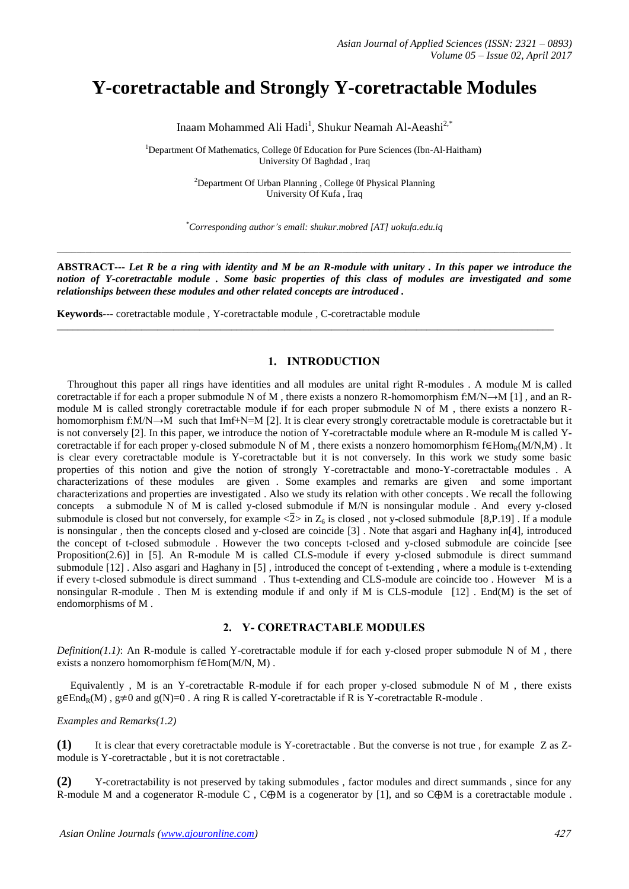# **Y-coretractable and Strongly Y-coretractable Modules**

Inaam Mohammed Ali Hadi<sup>1</sup>, Shukur Neamah Al-Aeashi<sup>2,\*</sup>

<sup>1</sup>Department Of Mathematics, College 0f Education for Pure Sciences (Ibn-Al-Haitham) University Of Baghdad , Iraq

> <sup>2</sup>Department Of Urban Planning , College 0f Physical Planning University Of Kufa , Iraq

*\*Corresponding author's email: shukur.mobred [AT] uokufa.edu.iq*

\_\_\_\_\_\_\_\_\_\_\_\_\_\_\_\_\_\_\_\_\_\_\_\_\_\_\_\_\_\_\_\_\_\_\_\_\_\_\_\_\_\_\_\_\_\_\_\_\_\_\_\_\_\_\_\_\_\_\_\_\_\_\_\_\_\_\_\_\_\_\_\_\_\_\_\_\_\_\_\_\_\_\_\_\_\_\_\_\_\_\_\_\_\_\_\_\_\_\_\_\_\_\_\_\_\_\_\_

**ABSTRACT---** *Let R be a ring with identity and M be an R-module with unitary . In this paper we introduce the notion of Y-coretractable module . Some basic properties of this class of modules are investigated and some relationships between these modules and other related concepts are introduced .*

\_\_\_\_\_\_\_\_\_\_\_\_\_\_\_\_\_\_\_\_\_\_\_\_\_\_\_\_\_\_\_\_\_\_\_\_\_\_\_\_\_\_\_\_\_\_\_\_\_\_\_\_\_\_\_\_\_\_\_\_\_\_\_\_\_\_\_\_\_\_\_\_\_\_\_\_\_\_\_\_\_\_\_\_\_\_\_\_\_\_\_\_\_\_

**Keywords***---* coretractable module , Y-coretractable module , C-coretractable module

# **1. INTRODUCTION**

 Throughout this paper all rings have identities and all modules are unital right R-modules . A module M is called coretractable if for each a proper submodule N of M, there exists a nonzero R-homomorphism f: $M/N \rightarrow M$  [1], and an Rmodule M is called strongly coretractable module if for each proper submodule N of M , there exists a nonzero Rhomomorphism  $f:M/N \rightarrow M$  such that Imf+N=M [2]. It is clear every strongly coretractable module is coretractable but it is not conversely [2]. In this paper, we introduce the notion of Y-coretractable module where an R-module M is called Ycoretractable if for each proper y-closed submodule N of M, there exists a nonzero homomorphism  $f \in Hom_R(M/N,M)$ . It is clear every coretractable module is Y-coretractable but it is not conversely. In this work we study some basic properties of this notion and give the notion of strongly Y-coretractable and mono-Y-coretractable modules . A characterizations of these modules are given . Some examples and remarks are given and some important characterizations and properties are investigated . Also we study its relation with other concepts . We recall the following concepts a submodule N of M is called y-closed submodule if M/N is nonsingular module . And every y-closed submodule is closed but not conversely, for example  $\langle 2 \rangle$  in  $Z_6$  is closed, not y-closed submodule [8,P.19]. If a module is nonsingular , then the concepts closed and y-closed are coincide [3] . Note that asgari and Haghany in[4], introduced the concept of t-closed submodule . However the two concepts t-closed and y-closed submodule are coincide [see Proposition(2.6)] in [5]. An R-module M is called CLS-module if every y-closed submodule is direct summand submodule [12] . Also asgari and Haghany in [5] , introduced the concept of t-extending , where a module is t-extending if every t-closed submodule is direct summand . Thus t-extending and CLS-module are coincide too . However M is a nonsingular R-module . Then M is extending module if and only if M is CLS-module [12] . End(M) is the set of endomorphisms of M .

# **2. Y- CORETRACTABLE MODULES**

*Definition(1.1)*: An R-module is called Y-coretractable module if for each y-closed proper submodule N of M, there exists a nonzero homomorphism  $f \in Hom(M/N, M)$ .

 Equivalently , M is an Y-coretractable R-module if for each proper y-closed submodule N of M , there exists  $g \in End_R(M)$ ,  $g \neq 0$  and  $g(N)=0$ . A ring R is called Y-coretractable if R is Y-coretractable R-module .

#### *Examples and Remarks(1.2)*

**(1)** It is clear that every coretractable module is Y-coretractable . But the converse is not true , for example Z as Zmodule is Y-coretractable , but it is not coretractable .

**(2)** Y-coretractability is not preserved by taking submodules , factor modules and direct summands , since for any R-module M and a cogenerator R-module C,  $C \oplus M$  is a cogenerator by [1], and so  $C \oplus M$  is a coretractable module.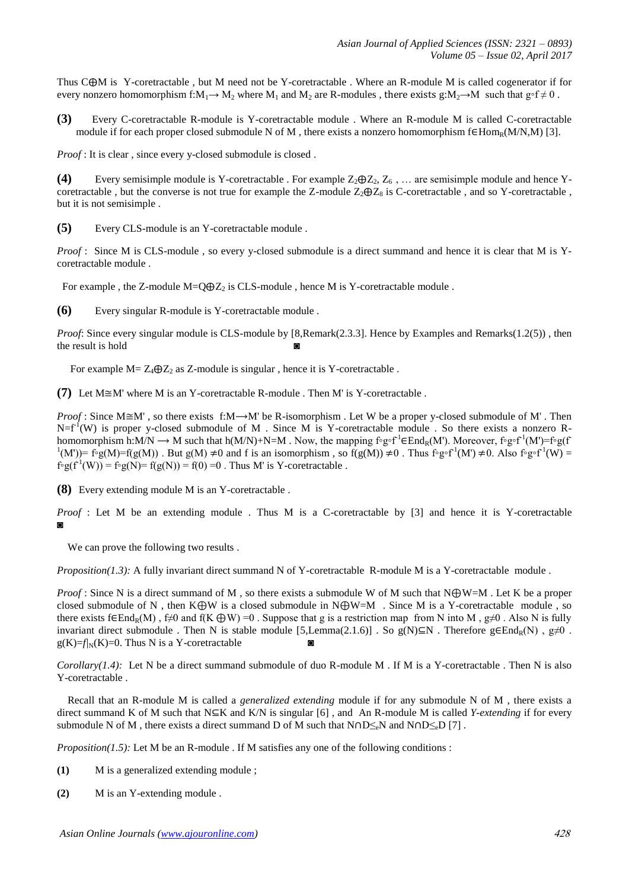Thus  $C \oplus M$  is Y-coretractable, but M need not be Y-coretractable. Where an R-module M is called cogenerator if for every nonzero homomorphism f:M<sub>1</sub>→ M<sub>2</sub> where M<sub>1</sub> and M<sub>2</sub> are R-modules , there exists g:M<sub>2</sub>→M such that g∘f  $\neq$  0.

**(3)** Every C-coretractable R-module is Y-coretractable module . Where an R-module M is called C-coretractable module if for each proper closed submodule N of M, there exists a nonzero homomorphism  $f \in Hom_R(M/N,M)$  [3].

*Proof* : It is clear , since every y-closed submodule is closed .

**(4)** Every semisimple module is Y-coretractable . For example  $Z_2 \oplus Z_2$ ,  $Z_6$ , ... are semisimple module and hence Ycoretractable , but the converse is not true for example the Z-module  $Z_2 \oplus Z_8$  is C-coretractable , and so Y-coretractable . but it is not semisimple .

**(5)** Every CLS-module is an Y-coretractable module .

*Proof* : Since M is CLS-module, so every y-closed submodule is a direct summand and hence it is clear that M is Ycoretractable module .

For example, the Z-module  $M=Q\oplus Z_2$  is CLS-module, hence M is Y-coretractable module.

**(6)** Every singular R-module is Y-coretractable module .

*Proof:* Since every singular module is CLS-module by [8,Remark(2.3.3]. Hence by Examples and Remarks(1.2(5)), then the result is hold

For example  $M = Z_4 \oplus Z_2$  as Z-module is singular, hence it is Y-coretractable.

**(7)** Let  $M \cong M'$  where M is an Y-coretractable R-module . Then M' is Y-coretractable .

*Proof* : Since  $M \cong M'$ , so there exists f: $M \rightarrow M'$  be R-isomorphism . Let W be a proper y-closed submodule of M'. Then  $N=f<sup>1</sup>(W)$  is proper y-closed submodule of M. Since M is Y-coretractable module. So there exists a nonzero Rhomomorphism h:M/N  $\rightarrow$  M such that h(M/N)+N=M . Now, the mapping f∘g∘f<sup>-1</sup> End<sub>R</sub>(M'). Moreover, f∘g∘f<sup>-1</sup>(M')=f∘g(f  $f(M')=f\circ g(M)=f(g(M))$ . But  $g(M)\neq 0$  and f is an isomorphism, so  $f(g(M))\neq 0$ . Thus  $f\circ g\circ f^{-1}(M')\neq 0$ . Also  $f\circ g\circ f^{-1}(W)=0$ .  $f \circ g(f^{-1}(W)) = f \circ g(N) = f(g(N)) = f(0) = 0$ . Thus M' is Y-coretractable.

**(8)** Every extending module M is an Y-coretractable .

*Proof* : Let M be an extending module . Thus M is a C-coretractable by [3] and hence it is Y-coretractable  $\circ$ 

We can prove the following two results .

*Proposition(1.3):* A fully invariant direct summand N of Y-coretractable R-module M is a Y-coretractable module .

*Proof* : Since N is a direct summand of M, so there exists a submodule W of M such that  $N \oplus W = M$ . Let K be a proper closed submodule of N, then  $K \bigoplus W$  is a closed submodule in  $N \bigoplus W = M$  . Since M is a Y-coretractable module, so there exists f $\epsilon$ End<sub>R</sub>(M), f≠0 and f(K  $\oplus$ W) =0. Suppose that g is a restriction map from N into M, g≠0. Also N is fully invariant direct submodule . Then N is stable module [5,Lemma(2.1.6)] . So g(N) $\subseteq N$  . Therefore g $\in$ End<sub>R</sub>(N), g≠0.  $g(K)=f/N(K)=0$ . Thus N is a Y-coretractable

*Corollary(1.4)*: Let N be a direct summand submodule of duo R-module M . If M is a Y-coretractable . Then N is also Y-coretractable .

 Recall that an R-module M is called a *generalized extending* module if for any submodule N of M , there exists a direct summand K of M such that  $N \subseteq K$  and  $K/N$  is singular [6], and An R-module M is called *Y-extending* if for every submodule N of M, there exists a direct summand D of M such that  $N \cap D \leq_{\alpha} N$  and  $N \cap D \leq_{\alpha} D$  [7].

*Proposition(1.5):* Let M be an R-module . If M satisfies any one of the following conditions :

- **(1)** M is a generalized extending module ;
- **(2)** M is an Y-extending module .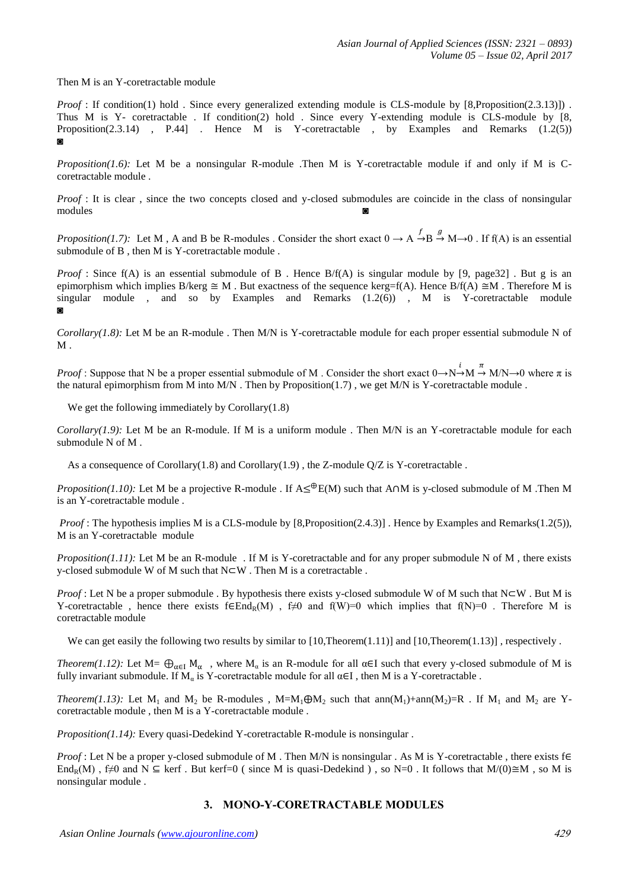Then M is an Y-coretractable module

*Proof* : If condition(1) hold . Since every generalized extending module is CLS-module by [8,Proposition(2.3.13)]) . Thus M is Y- coretractable . If condition(2) hold . Since every Y-extending module is CLS-module by [8, Proposition(2.3.14) , P.44] . Hence M is Y-coretractable , by Examples and Remarks  $(1.2(5))$ ◙

*Proposition(1.6):* Let M be a nonsingular R-module .Then M is Y-coretractable module if and only if M is Ccoretractable module .

*Proof* : It is clear, since the two concepts closed and y-closed submodules are coincide in the class of nonsingular modules ◙

*Proposition(1.7)*: Let M, A and B be R-modules. Consider the short exact  $0 \to A \to B \to M \to 0$ . If f(A) is an essential submodule of B, then M is Y-coretractable module.

*Proof* : Since f(A) is an essential submodule of B. Hence B/f(A) is singular module by [9, page32]. But g is an epimorphism which implies B/kerg  $\cong M$ . But exactness of the sequence kerg=f(A). Hence B/f(A)  $\cong M$ . Therefore M is singular module , and so by Examples and Remarks  $(1.2(6))$  , M is Y-coretractable module ◙

*Corollary(1.8):* Let M be an R-module . Then M/N is Y-coretractable module for each proper essential submodule N of  $M$ 

*Proof* : Suppose that N be a proper essential submodule of M . Consider the short exact  $0 \rightarrow N \rightarrow M \rightarrow M/N \rightarrow 0$  where  $\pi$  is the natural epimorphism from M into M/N. Then by Proposition(1.7), we get M/N is Y-coretractable module.

We get the following immediately by Corollary(1.8)

*Corollary(1.9):* Let M be an R-module. If M is a uniform module . Then M/N is an Y-coretractable module for each submodule N of M .

As a consequence of Corollary $(1.8)$  and Corollary $(1.9)$ , the Z-module  $Q/Z$  is Y-coretractable .

*Proposition(1.10):* Let M be a projective R-module . If  $A \leq^{\oplus} E(M)$  such that A  $\cap M$  is y-closed submodule of M .Then M is an Y-coretractable module .

*Proof* : The hypothesis implies M is a CLS-module by [8,Proposition(2.4.3)]. Hence by Examples and Remarks(1.2(5)), M is an Y-coretractable module

*Proposition(1.11):* Let M be an R-module . If M is Y-coretractable and for any proper submodule N of M, there exists y-closed submodule W of M such that  $N\square W$  . Then M is a coretractable .

*Proof* : Let N be a proper submodule . By hypothesis there exists y-closed submodule W of M such that  $N\subset W$ . But M is Y-coretractable, hence there exists  $f \in End_R(M)$ ,  $f \neq 0$  and  $f(W)=0$  which implies that  $f(N)=0$ . Therefore M is coretractable module

We can get easily the following two results by similar to  $[10, Theorem(1.11)]$  and  $[10, Theorem(1.13)]$ , respectively.

*Theorem(1.12):* Let  $M = \bigoplus_{\alpha \in I} M_{\alpha}$ , where  $M_{\alpha}$  is an R-module for all  $\alpha \in I$  such that every y-closed submodule of M is fully invariant submodule. If  $M_a$  is Y-coretractable module for all  $\alpha \in I$ , then M is a Y-coretractable.

*Theorem(1.13):* Let  $M_1$  and  $M_2$  be R-modules , M=M<sub>1</sub> $\bigoplus M_2$  such that ann(M<sub>1</sub>)+ann(M<sub>2</sub>)=R . If M<sub>1</sub> and M<sub>2</sub> are Ycoretractable module , then M is a Y-coretractable module .

*Proposition(1.14):* Every quasi-Dedekind Y-coretractable R-module is nonsingular.

*Proof* : Let N be a proper y-closed submodule of M. Then M/N is nonsingular. As M is Y-coretractable, there exists  $f \in$ End<sub>R</sub>(M), f≠0 and N  $\subseteq$  kerf. But kerf=0 ( since M is quasi-Dedekind ), so N=0. It follows that M/(0) $\cong$ M, so M is nonsingular module .

# **3. MONO-Y-CORETRACTABLE MODULES**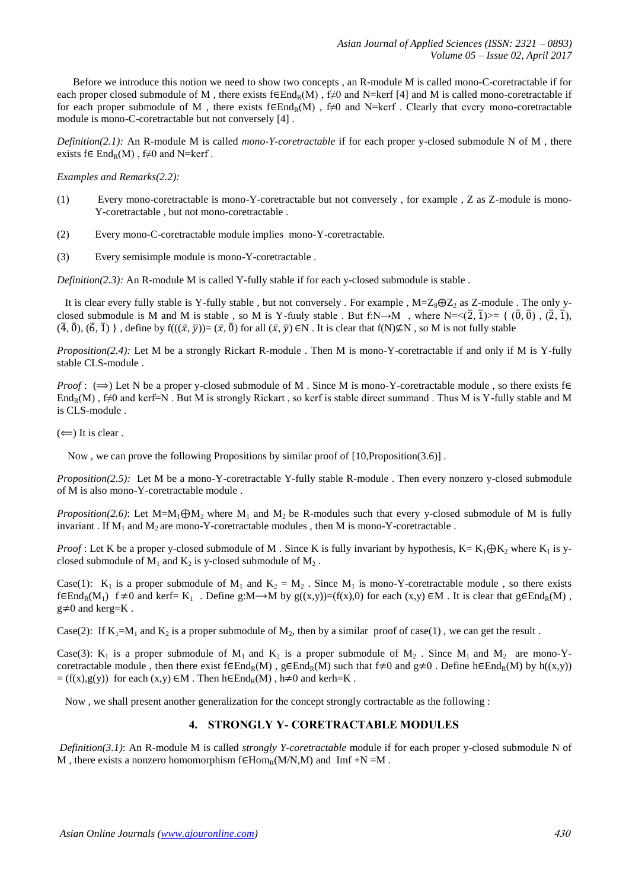Before we introduce this notion we need to show two concepts , an R-module M is called mono-C-coretractable if for each proper closed submodule of M, there exists  $f \in End_R(M)$ ,  $f \neq 0$  and N=kerf [4] and M is called mono-coretractable if for each proper submodule of M, there exists  $f \in End_R(M)$ ,  $f \neq 0$  and N=kerf. Clearly that every mono-coretractable module is mono-C-coretractable but not conversely [4] .

*Definition(2.1):* An R-module M is called *mono-Y-coretractable* if for each proper y-closed submodule N of M , there exists  $f \in End_R(M)$ ,  $f \neq 0$  and N=kerf.

*Examples and Remarks(2.2):* 

- (1) Every mono-coretractable is mono-Y-coretractable but not conversely , for example , Z as Z-module is mono-Y-coretractable , but not mono-coretractable .
- (2) Every mono-C-coretractable module implies mono-Y-coretractable.
- (3) Every semisimple module is mono-Y-coretractable .

*Definition(2.3):* An R-module M is called Y-fully stable if for each y-closed submodule is stable.

It is clear every fully stable is Y-fully stable, but not conversely. For example,  $M=Z_8\oplus Z_2$  as Z-module. The only yclosed submodule is M and M is stable, so M is Y-fuuly stable. But f:N→M, where N= $\langle (2, \bar{1}) \rangle = \{ (\bar{0}, \bar{0})$ ,  $(\bar{2}, \bar{1})$ ,  $(\overline{4}, \overline{0}), (\overline{6}, \overline{1})\}$ , define by  $f(((\overline{x}, \overline{y}))=(\overline{x}, \overline{0})$  for all  $(\overline{x}, \overline{y}) \in N$ . It is clear that  $f(N)\not\subseteq N$ , so M is not fully stable

*Proposition(2.4):* Let M be a strongly Rickart R-module . Then M is mono-Y-coretractable if and only if M is Y-fully stable CLS-module .

*Proof* :  $(\Rightarrow)$  Let N be a proper y-closed submodule of M. Since M is mono-Y-coretractable module, so there exists  $f \in$ End<sub>R</sub>(M), f≠0 and kerf=N. But M is strongly Rickart, so kerf is stable direct summand. Thus M is Y-fully stable and M is CLS-module .

 $(\Leftarrow)$  It is clear.

Now , we can prove the following Propositions by similar proof of [10,Proposition(3.6)] .

*Proposition(2.5):* Let M be a mono-Y-coretractable Y-fully stable R-module . Then every nonzero y-closed submodule of M is also mono-Y-coretractable module .

*Proposition(2.6)*: Let  $M = M_1 \oplus M_2$  where  $M_1$  and  $M_2$  be R-modules such that every y-closed submodule of M is fully invariant . If  $M_1$  and  $M_2$  are mono-Y-coretractable modules , then M is mono-Y-coretractable .

*Proof*: Let K be a proper y-closed submodule of M. Since K is fully invariant by hypothesis,  $K = K_1 \oplus K_2$ , where  $K_1$  is yclosed submodule of  $M_1$  and  $K_2$  is y-closed submodule of  $M_2$ .

Case(1): K<sub>1</sub> is a proper submodule of M<sub>1</sub> and K<sub>2</sub> = M<sub>2</sub>. Since M<sub>1</sub> is mono-Y-coretractable module, so there exists  $f \in End_R(M_1)$  f  $\neq 0$  and kerf= K<sub>1</sub>. Define g:M  $\rightarrow$ M by g((x,y))=(f(x),0) for each (x,y)  $\in M$ . It is clear that g $\in End_R(M)$ ,  $g \neq 0$  and kerg=K.

Case(2): If  $K_1=M_1$  and  $K_2$  is a proper submodule of  $M_2$ , then by a similar proof of case(1), we can get the result.

Case(3): K<sub>1</sub> is a proper submodule of M<sub>1</sub> and K<sub>2</sub> is a proper submodule of M<sub>2</sub>. Since M<sub>1</sub> and M<sub>2</sub> are mono-Ycoretractable module, then there exist  $f \in End_R(M)$ ,  $g \in End_R(M)$  such that  $f \neq 0$  and  $g \neq 0$ . Define  $h \in End_R(M)$  by  $h((x,y))$  $= (f(x),g(y))$  for each  $(x,y) \in M$ . Then  $h \in End_R(M)$ ,  $h \neq 0$  and kerh=K.

Now , we shall present another generalization for the concept strongly cortractable as the following :

# **4. STRONGLY Y- CORETRACTABLE MODULES**

*Definition(3.1)*: An R-module M is called *strongly Y-coretractable* module if for each proper y-closed submodule N of M, there exists a nonzero homomorphism  $f \in Hom_R(M/N,M)$  and Imf +N =M.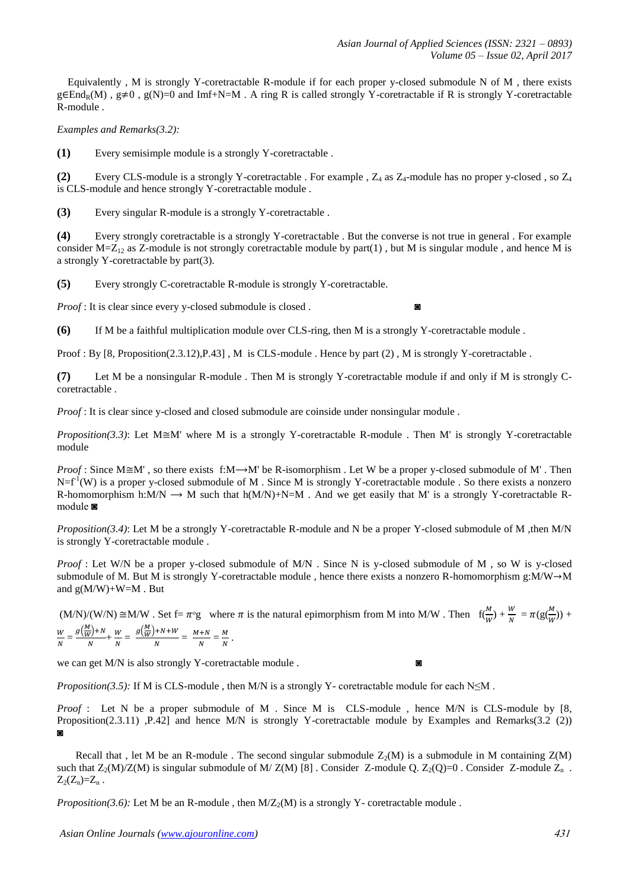Equivalently , M is strongly Y-coretractable R-module if for each proper y-closed submodule N of M , there exists  $g \in End_R(M)$ ,  $g \neq 0$ ,  $g(N)=0$  and Imf+N=M. A ring R is called strongly Y-coretractable if R is strongly Y-coretractable R-module .

*Examples and Remarks(3.2):*

**(1)** Every semisimple module is a strongly Y-coretractable .

**(2)** Every CLS-module is a strongly Y-coretractable . For example ,  $Z_4$  as  $Z_4$ -module has no proper y-closed , so  $Z_4$ is CLS-module and hence strongly Y-coretractable module .

**(3)** Every singular R-module is a strongly Y-coretractable .

**(4)** Every strongly coretractable is a strongly Y-coretractable . But the converse is not true in general . For example consider  $M = Z_{12}$  as Z-module is not strongly coretractable module by part(1), but M is singular module, and hence M is a strongly Y-coretractable by part(3).

**(5)** Every strongly C-coretractable R-module is strongly Y-coretractable.

*Proof* : It is clear since every y-closed submodule is closed.

**(6)** If M be a faithful multiplication module over CLS-ring, then M is a strongly Y-coretractable module .

Proof : By [8, Proposition(2.3.12), P.43] , M is CLS-module . Hence by part (2), M is strongly Y-coretractable .

**(7)** Let M be a nonsingular R-module . Then M is strongly Y-coretractable module if and only if M is strongly Ccoretractable .

*Proof* : It is clear since y-closed and closed submodule are coinside under nonsingular module.

*Proposition(3.3)*: Let  $M \cong M'$  where M is a strongly Y-coretractable R-module . Then M' is strongly Y-coretractable module

*Proof* : Since  $M \cong M'$ , so there exists f: $M \rightarrow M'$  be R-isomorphism . Let W be a proper y-closed submodule of M'. Then  $N=f<sup>1</sup>(W)$  is a proper y-closed submodule of M. Since M is strongly Y-coretractable module. So there exists a nonzero R-homomorphism h:M/N  $\rightarrow$  M such that h(M/N)+N=M . And we get easily that M' is a strongly Y-coretractable Rmodule ◙

*Proposition(3.4)*: Let M be a strongly Y-coretractable R-module and N be a proper Y-closed submodule of M ,then M/N is strongly Y-coretractable module .

*Proof* : Let W/N be a proper y-closed submodule of M/N . Since N is y-closed submodule of M , so W is y-closed submodule of M. But M is strongly Y-coretractable module, hence there exists a nonzero R-homomorphism g:M/W $\rightarrow$ M and  $g(M/W)+W=M$ . But

 $(M/N)/(W/N) \cong M/W$ . Set  $f = \pi^{\circ}g$  where  $\pi$  is the natural epimorphism from M into M/W. Then  $f(\frac{M}{W}) + \frac{W}{N} = \pi(g(\frac{M}{W})) +$ W  $\frac{W}{N} = \frac{g(\frac{M}{W})}{N}$  $\frac{\overline{V}}{N}$  +  $\frac{W}{N}$  $\frac{W}{N} = \frac{g(\frac{M}{W})}{N}$  $\frac{N+N+W}{N} = \frac{M}{N}$  $\frac{N+N}{N} = \frac{M}{N}$  $\frac{m}{N}$ .

we can get M/N is also strongly Y-coretractable module .  $\bullet$ 

*Proposition(3.5):* If M is CLS-module , then M/N is a strongly Y- coretractable module for each N≤M .

*Proof* : Let N be a proper submodule of M . Since M is CLS-module , hence M/N is CLS-module by [8, Proposition(2.3.11) ,P.42] and hence M/N is strongly Y-coretractable module by Examples and Remarks(3.2 (2))  $\Omega$ 

Recall that, let M be an R-module. The second singular submodule  $Z_2(M)$  is a submodule in M containing  $Z(M)$ such that  $Z_2(M)/Z(M)$  is singular submodule of M/ Z(M) [8]. Consider Z-module Q.  $Z_2(Q)=0$ . Consider Z-module  $Z_n$ .  $Z_2(Z_n)=Z_n$ .

*Proposition(3.6):* Let M be an R-module , then  $M/Z_2(M)$  is a strongly Y- coretractable module .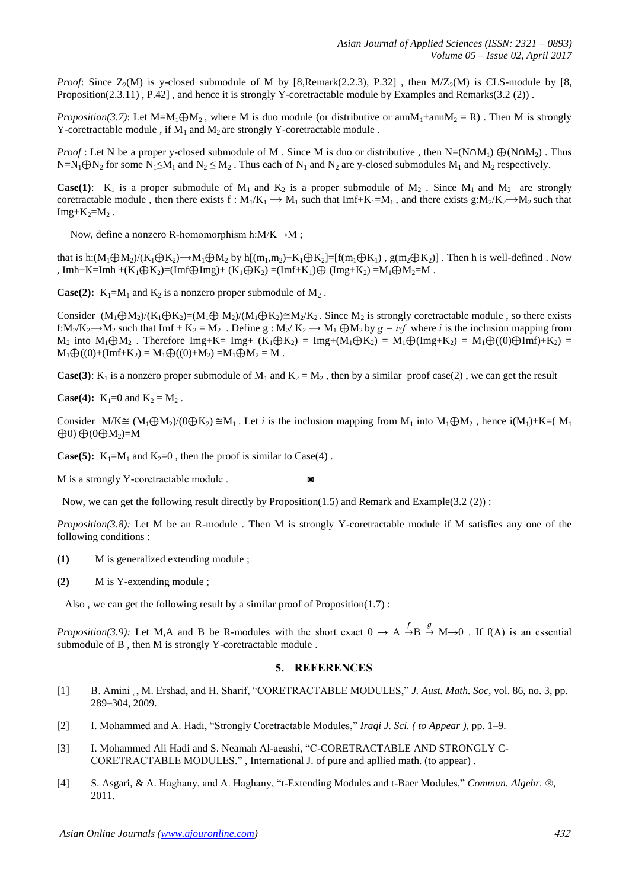*Proof*: Since  $Z_2(M)$  is y-closed submodule of M by [8,Remark(2.2.3), P.32], then  $M/Z_2(M)$  is CLS-module by [8, Proposition(2.3.11), P.42], and hence it is strongly Y-coretractable module by Examples and Remarks(3.2 (2)).

*Proposition(3.7)*: Let M=M<sub>1</sub> $\oplus$ M<sub>2</sub>, where M is duo module (or distributive or annM<sub>1</sub>+annM<sub>2</sub> = R). Then M is strongly Y-coretractable module, if  $M_1$  and  $M_2$  are strongly Y-coretractable module.

*Proof* : Let N be a proper y-closed submodule of M. Since M is duo or distributive, then  $N=(N \cap M_1) \bigoplus (N \cap M_2)$ . Thus  $N=N_1\bigoplus N_2$  for some  $N_1\leq M_1$  and  $N_2\leq M_2$ . Thus each of  $N_1$  and  $N_2$  are y-closed submodules  $M_1$  and  $M_2$  respectively.

**Case(1):**  $K_1$  is a proper submodule of  $M_1$  and  $K_2$  is a proper submodule of  $M_2$ . Since  $M_1$  and  $M_2$  are strongly coretractable module, then there exists f :  $M_1/K_1 \to M_1$  such that Imf+K<sub>1</sub>=M<sub>1</sub>, and there exists g: $M_2/K_2 \to M_2$  such that  $Img+K_2=M_2$ .

Now, define a nonzero R-homomorphism h: $M/K \rightarrow M$ ;

that is h: $(M_1 \oplus M_2)/(K_1 \oplus K_2) \rightarrow M_1 \oplus M_2$  by h $[(m_1,m_2)+K_1 \oplus K_2]=[f(m_1 \oplus K_1), g(m_2 \oplus K_2)]$ . Then h is well-defined . Now , Imh+K=Imh +(K<sub>1</sub> $\oplus$ K<sub>2</sub>)=(Imf $\oplus$ Img)+ (K<sub>1</sub> $\oplus$ K<sub>2</sub>) =(Imf+K<sub>1</sub>) $\oplus$  (Img+K<sub>2</sub>) =M<sub>1</sub> $\oplus$ M<sub>2</sub>=M.

**Case(2):**  $K_1 = M_1$  and  $K_2$  is a nonzero proper submodule of  $M_2$ .

Consider  $(M_1 \oplus M_2)/(K_1 \oplus K_2) = (M_1 \oplus M_2)/(M_1 \oplus K_2) \cong M_2/K_2$ . Since  $M_2$  is strongly coretractable module, so there exists f:M<sub>2</sub>/K<sub>2</sub>  $\rightarrow$ M<sub>2</sub> such that Imf + K<sub>2</sub> = M<sub>2</sub>. Define g : M<sub>2</sub>/K<sub>2</sub>  $\rightarrow$  M<sub>1</sub>  $\bigoplus$ M<sub>2</sub> by  $g = i \circ f$  where *i* is the inclusion mapping from  $M_2$  into  $M_1 \oplus M_2$ . Therefore Img+K= Img+  $(K_1 \oplus K_2) = Img + (M_1 \oplus K_2) = M_1 \oplus (Img + K_2) = M_1 \oplus ((0) \oplus Imf + K_2)$  $M_1 \bigoplus ((0) + (Imf + K_2) = M_1 \bigoplus ((0) + M_2) = M_1 \bigoplus M_2 = M$ .

**Case(3)**: K<sub>1</sub> is a nonzero proper submodule of M<sub>1</sub> and K<sub>2</sub> = M<sub>2</sub>, then by a similar proof case(2), we can get the result

**Case(4):**  $K_1=0$  and  $K_2 = M_2$ .

Consider  $M/K \cong (M_1 \oplus M_2)/(0 \oplus K_2) \cong M_1$ . Let *i* is the inclusion mapping from  $M_1$  into  $M_1 \oplus M_2$ , hence  $i(M_1) + K = (M_1)$  $\oplus$ 0)  $\oplus$ (0 $\oplus$ M<sub>2</sub>)=M

**Case(5):**  $K_1 = M_1$  and  $K_2 = 0$ , then the proof is similar to Case(4).

M is a strongly Y-coretractable module .  $\bullet$ 

Now, we can get the following result directly by Proposition(1.5) and Remark and Example(3.2 (2)) :

*Proposition(3.8):* Let M be an R-module . Then M is strongly Y-coretractable module if M satisfies any one of the following conditions :

- **(1)** M is generalized extending module ;
- **(2)** M is Y-extending module ;

Also, we can get the following result by a similar proof of Proposition $(1.7)$ :

*Proposition(3.9):* Let M,A and B be R-modules with the short exact  $0 \to A \stackrel{f}{\to} B \stackrel{g}{\to} M \to 0$ . If f(A) is an essential submodule of B , then M is strongly Y-coretractable module .

### **5. REFERENCES**

- [1] B. Amini ˛, M. Ershad, and H. Sharif, "CORETRACTABLE MODULES," *J. Aust. Math. Soc*, vol. 86, no. 3, pp. 289–304, 2009.
- [2] I. Mohammed and A. Hadi, "Strongly Coretractable Modules," *Iraqi J. Sci. ( to Appear )*, pp. 1–9.
- [3] I. Mohammed Ali Hadi and S. Neamah Al-aeashi, "C-CORETRACTABLE AND STRONGLY C-CORETRACTABLE MODULES." , International J. of pure and apllied math. (to appear) .
- [4] S. Asgari, & A. Haghany, and A. Haghany, "t-Extending Modules and t-Baer Modules," *Commun. Algebr. ®*, 2011.